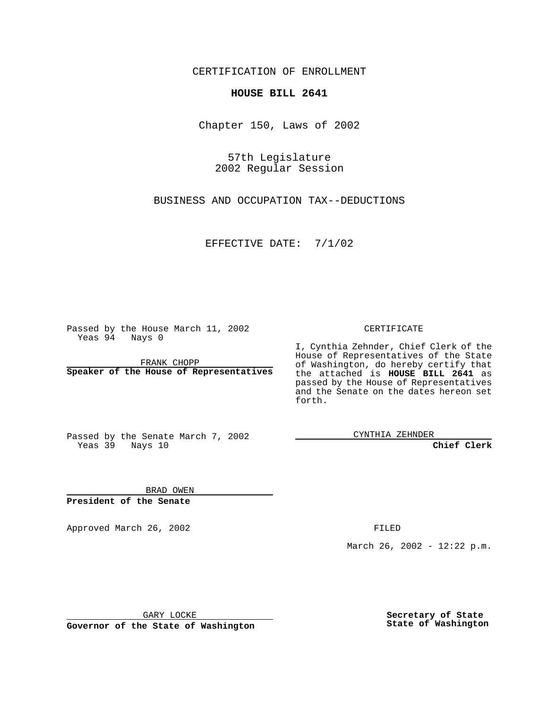CERTIFICATION OF ENROLLMENT

## **HOUSE BILL 2641**

Chapter 150, Laws of 2002

57th Legislature 2002 Regular Session

BUSINESS AND OCCUPATION TAX--DEDUCTIONS

EFFECTIVE DATE: 7/1/02

Passed by the House March 11, 2002 Yeas 94 Nays 0

FRANK CHOPP **Speaker of the House of Representatives** CERTIFICATE

I, Cynthia Zehnder, Chief Clerk of the House of Representatives of the State of Washington, do hereby certify that the attached is **HOUSE BILL 2641** as passed by the House of Representatives and the Senate on the dates hereon set forth.

Passed by the Senate March 7, 2002 Yeas 39 Nays 10

CYNTHIA ZEHNDER

**Chief Clerk**

BRAD OWEN **President of the Senate**

Approved March 26, 2002 **FILED** 

March 26, 2002 - 12:22 p.m.

GARY LOCKE

**Governor of the State of Washington**

**Secretary of State State of Washington**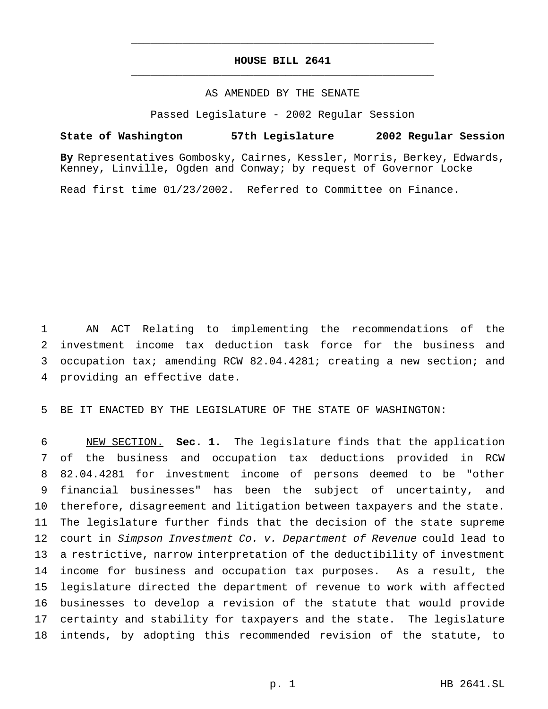## **HOUSE BILL 2641** \_\_\_\_\_\_\_\_\_\_\_\_\_\_\_\_\_\_\_\_\_\_\_\_\_\_\_\_\_\_\_\_\_\_\_\_\_\_\_\_\_\_\_\_\_\_\_

\_\_\_\_\_\_\_\_\_\_\_\_\_\_\_\_\_\_\_\_\_\_\_\_\_\_\_\_\_\_\_\_\_\_\_\_\_\_\_\_\_\_\_\_\_\_\_

## AS AMENDED BY THE SENATE

Passed Legislature - 2002 Regular Session

## **State of Washington 57th Legislature 2002 Regular Session**

**By** Representatives Gombosky, Cairnes, Kessler, Morris, Berkey, Edwards, Kenney, Linville, Ogden and Conway; by request of Governor Locke

Read first time 01/23/2002. Referred to Committee on Finance.

 AN ACT Relating to implementing the recommendations of the investment income tax deduction task force for the business and occupation tax; amending RCW 82.04.4281; creating a new section; and providing an effective date.

BE IT ENACTED BY THE LEGISLATURE OF THE STATE OF WASHINGTON:

 NEW SECTION. **Sec. 1.** The legislature finds that the application of the business and occupation tax deductions provided in RCW 82.04.4281 for investment income of persons deemed to be "other financial businesses" has been the subject of uncertainty, and therefore, disagreement and litigation between taxpayers and the state. The legislature further finds that the decision of the state supreme 12 court in Simpson Investment Co. v. Department of Revenue could lead to a restrictive, narrow interpretation of the deductibility of investment income for business and occupation tax purposes. As a result, the legislature directed the department of revenue to work with affected businesses to develop a revision of the statute that would provide certainty and stability for taxpayers and the state. The legislature intends, by adopting this recommended revision of the statute, to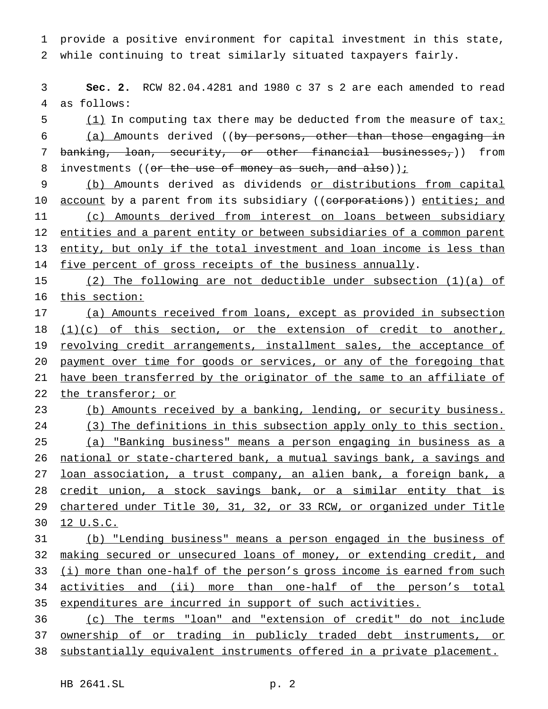1 provide a positive environment for capital investment in this state, 2 while continuing to treat similarly situated taxpayers fairly.

3 **Sec. 2.** RCW 82.04.4281 and 1980 c 37 s 2 are each amended to read 4 as follows:

5 (1) In computing tax there may be deducted from the measure of tax: 6 (a) Amounts derived ((by persons, other than those engaging in 7 banking, loan, security, or other financial businesses,)) from 8 investments (( $or$  the use of money as such, and also));

9 (b) Amounts derived as dividends or distributions from capital 10 account by a parent from its subsidiary ((corporations)) entities; and 11 (c) Amounts derived from interest on loans between subsidiary 12 entities and a parent entity or between subsidiaries of a common parent 13 entity, but only if the total investment and loan income is less than 14 five percent of gross receipts of the business annually.

15 (2) The following are not deductible under subsection (1)(a) of 16 this section:

17 (a) Amounts received from loans, except as provided in subsection 18 (1)(c) of this section, or the extension of credit to another, 19 revolving credit arrangements, installment sales, the acceptance of 20 payment over time for goods or services, or any of the foregoing that 21 have been transferred by the originator of the same to an affiliate of 22 the transferor; or

- 23 (b) Amounts received by a banking, lending, or security business. 24 (3) The definitions in this subsection apply only to this section. 25 (a) "Banking business" means a person engaging in business as a 26 national or state-chartered bank, a mutual savings bank, a savings and 27 loan association, a trust company, an alien bank, a foreign bank, a 28 credit union, a stock savings bank, or a similar entity that is 29 chartered under Title 30, 31, 32, or 33 RCW, or organized under Title
- 30 12 U.S.C.

31 (b) "Lending business" means a person engaged in the business of 32 making secured or unsecured loans of money, or extending credit, and 33 (i) more than one-half of the person's gross income is earned from such 34 activities and (ii) more than one-half of the person's total 35 expenditures are incurred in support of such activities.

36 (c) The terms "loan" and "extension of credit" do not include 37 ownership of or trading in publicly traded debt instruments, or 38 substantially equivalent instruments offered in a private placement.